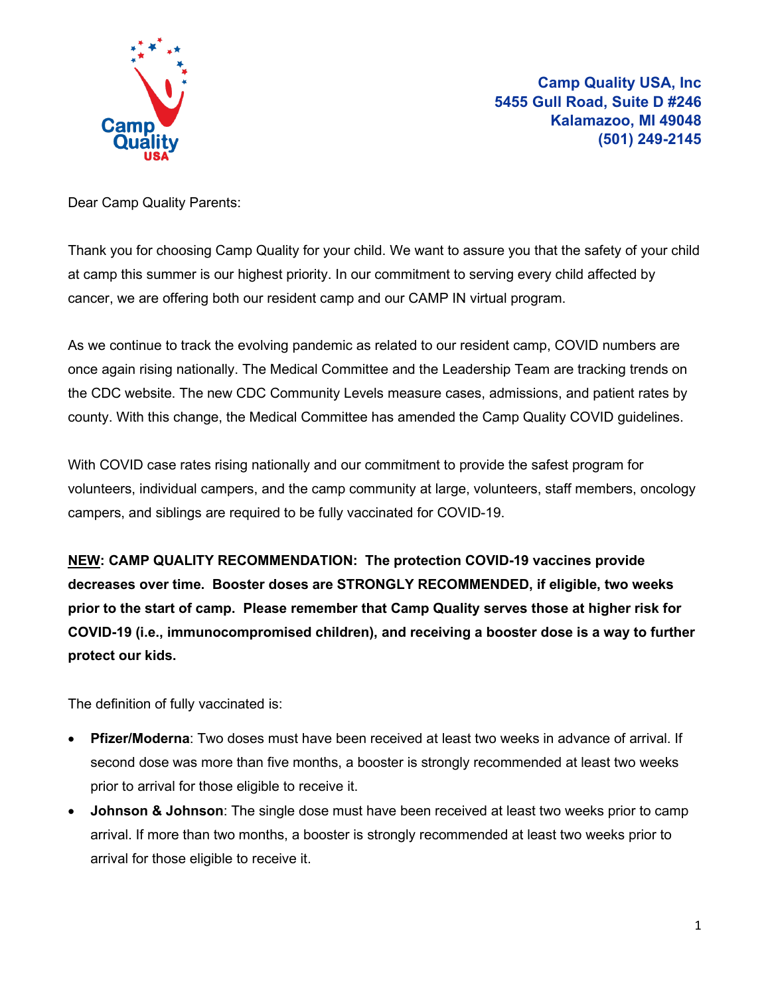

**Camp Quality USA, Inc 5455 Gull Road, Suite D #246 Kalamazoo, MI 49048 (501) 249-2145**

Dear Camp Quality Parents:

Thank you for choosing Camp Quality for your child. We want to assure you that the safety of your child at camp this summer is our highest priority. In our commitment to serving every child affected by cancer, we are offering both our resident camp and our CAMP IN virtual program.

As we continue to track the evolving pandemic as related to our resident camp, COVID numbers are once again rising nationally. The Medical Committee and the Leadership Team are tracking trends on the CDC website. The new CDC Community Levels measure cases, admissions, and patient rates by county. With this change, the Medical Committee has amended the Camp Quality COVID guidelines.

With COVID case rates rising nationally and our commitment to provide the safest program for volunteers, individual campers, and the camp community at large, volunteers, staff members, oncology campers, and siblings are required to be fully vaccinated for COVID-19.

**NEW: CAMP QUALITY RECOMMENDATION: The protection COVID-19 vaccines provide decreases over time. Booster doses are STRONGLY RECOMMENDED, if eligible, two weeks prior to the start of camp. Please remember that Camp Quality serves those at higher risk for COVID-19 (i.e., immunocompromised children), and receiving a booster dose is a way to further protect our kids.** 

The definition of fully vaccinated is:

- **Pfizer/Moderna**: Two doses must have been received at least two weeks in advance of arrival. If second dose was more than five months, a booster is strongly recommended at least two weeks prior to arrival for those eligible to receive it.
- **Johnson & Johnson**: The single dose must have been received at least two weeks prior to camp arrival. If more than two months, a booster is strongly recommended at least two weeks prior to arrival for those eligible to receive it.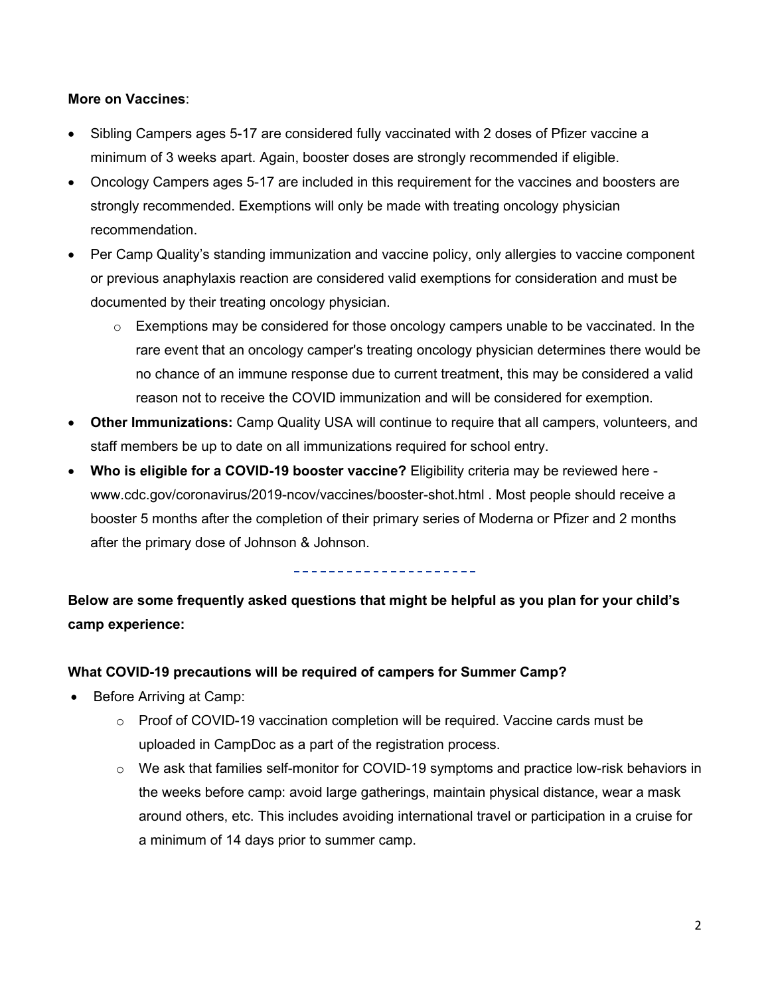#### **More on Vaccines**:

- Sibling Campers ages 5-17 are considered fully vaccinated with 2 doses of Pfizer vaccine a minimum of 3 weeks apart. Again, booster doses are strongly recommended if eligible.
- Oncology Campers ages 5-17 are included in this requirement for the vaccines and boosters are strongly recommended. Exemptions will only be made with treating oncology physician recommendation.
- Per Camp Quality's standing immunization and vaccine policy, only allergies to vaccine component or previous anaphylaxis reaction are considered valid exemptions for consideration and must be documented by their treating oncology physician.
	- $\circ$  Exemptions may be considered for those oncology campers unable to be vaccinated. In the rare event that an oncology camper's treating oncology physician determines there would be no chance of an immune response due to current treatment, this may be considered a valid reason not to receive the COVID immunization and will be considered for exemption.
- **Other Immunizations:** Camp Quality USA will continue to require that all campers, volunteers, and staff members be up to date on all immunizations required for school entry.
- **Who is eligible for a COVID-19 booster vaccine?** Eligibility criteria may be reviewed here www.cdc.gov/coronavirus/2019-ncov/vaccines/booster-shot.html . Most people should receive a booster 5 months after the completion of their primary series of Moderna or Pfizer and 2 months after the primary dose of Johnson & Johnson.

---------------------

**Below are some frequently asked questions that might be helpful as you plan for your child's camp experience:**

## **What COVID-19 precautions will be required of campers for Summer Camp?**

- Before Arriving at Camp:
	- $\circ$  Proof of COVID-19 vaccination completion will be required. Vaccine cards must be uploaded in CampDoc as a part of the registration process.
	- $\circ$  We ask that families self-monitor for COVID-19 symptoms and practice low-risk behaviors in the weeks before camp: avoid large gatherings, maintain physical distance, wear a mask around others, etc. This includes avoiding international travel or participation in a cruise for a minimum of 14 days prior to summer camp.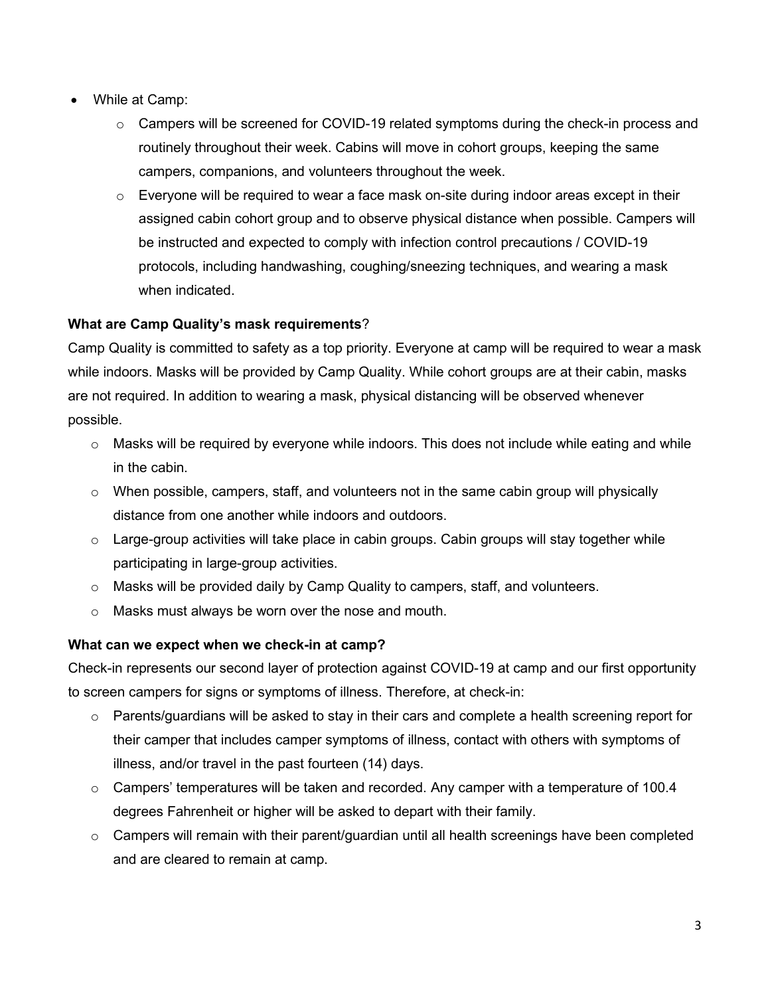- While at Camp:
	- o Campers will be screened for COVID-19 related symptoms during the check-in process and routinely throughout their week. Cabins will move in cohort groups, keeping the same campers, companions, and volunteers throughout the week.
	- $\circ$  Everyone will be required to wear a face mask on-site during indoor areas except in their assigned cabin cohort group and to observe physical distance when possible. Campers will be instructed and expected to comply with infection control precautions / COVID-19 protocols, including handwashing, coughing/sneezing techniques, and wearing a mask when indicated.

# **What are Camp Quality's mask requirements**?

Camp Quality is committed to safety as a top priority. Everyone at camp will be required to wear a mask while indoors. Masks will be provided by Camp Quality. While cohort groups are at their cabin, masks are not required. In addition to wearing a mask, physical distancing will be observed whenever possible.

- $\circ$  Masks will be required by everyone while indoors. This does not include while eating and while in the cabin.
- $\circ$  When possible, campers, staff, and volunteers not in the same cabin group will physically distance from one another while indoors and outdoors.
- $\circ$  Large-group activities will take place in cabin groups. Cabin groups will stay together while participating in large-group activities.
- $\circ$  Masks will be provided daily by Camp Quality to campers, staff, and volunteers.
- o Masks must always be worn over the nose and mouth.

## **What can we expect when we check-in at camp?**

Check-in represents our second layer of protection against COVID-19 at camp and our first opportunity to screen campers for signs or symptoms of illness. Therefore, at check-in:

- o Parents/guardians will be asked to stay in their cars and complete a health screening report for their camper that includes camper symptoms of illness, contact with others with symptoms of illness, and/or travel in the past fourteen (14) days.
- o Campers' temperatures will be taken and recorded. Any camper with a temperature of 100.4 degrees Fahrenheit or higher will be asked to depart with their family.
- $\circ$  Campers will remain with their parent/guardian until all health screenings have been completed and are cleared to remain at camp.